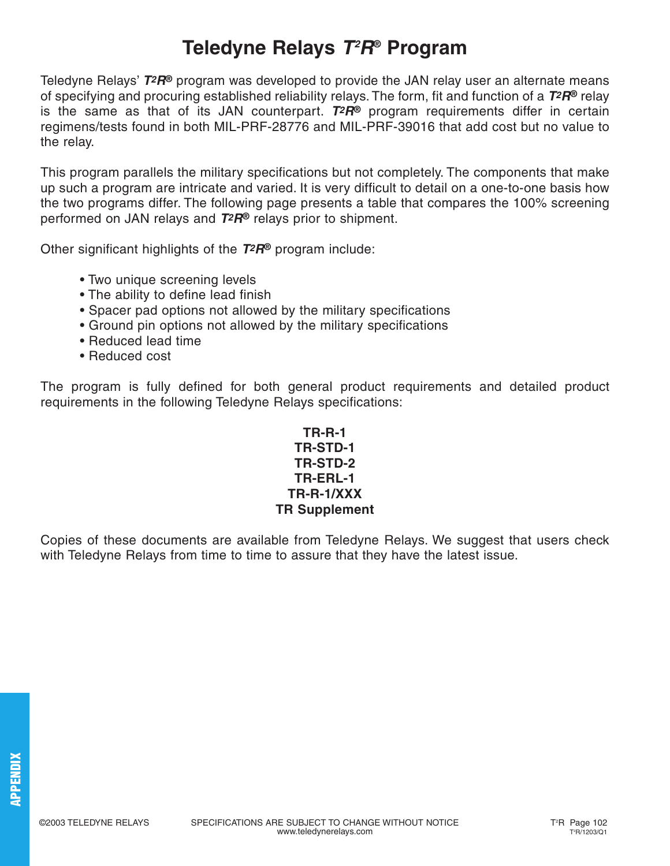## **Teledyne Relays T2 R® Program**

Teledyne Relays' **T2R®** program was developed to provide the JAN relay user an alternate means of specifying and procuring established reliability relays. The form, fit and function of a **T2R®** relay is the same as that of its JAN counterpart. **T2R®** program requirements differ in certain regimens/tests found in both MIL-PRF-28776 and MIL-PRF-39016 that add cost but no value to the relay.

This program parallels the military specifications but not completely. The components that make up such a program are intricate and varied. It is very difficult to detail on a one-to-one basis how the two programs differ. The following page presents a table that compares the 100% screening performed on JAN relays and **T2R®** relays prior to shipment.

Other significant highlights of the **T2R®** program include:

- Two unique screening levels
- The ability to define lead finish
- Spacer pad options not allowed by the military specifications
- Ground pin options not allowed by the military specifications
- Reduced lead time
- Reduced cost

The program is fully defined for both general product requirements and detailed product requirements in the following Teledyne Relays specifications:

## **TR-R-1 TR-STD-1 TR-STD-2 TR-ERL-1 TR-R-1/XXX TR Supplement**

Copies of these documents are available from Teledyne Relays. We suggest that users check with Teledyne Relays from time to time to assure that they have the latest issue.